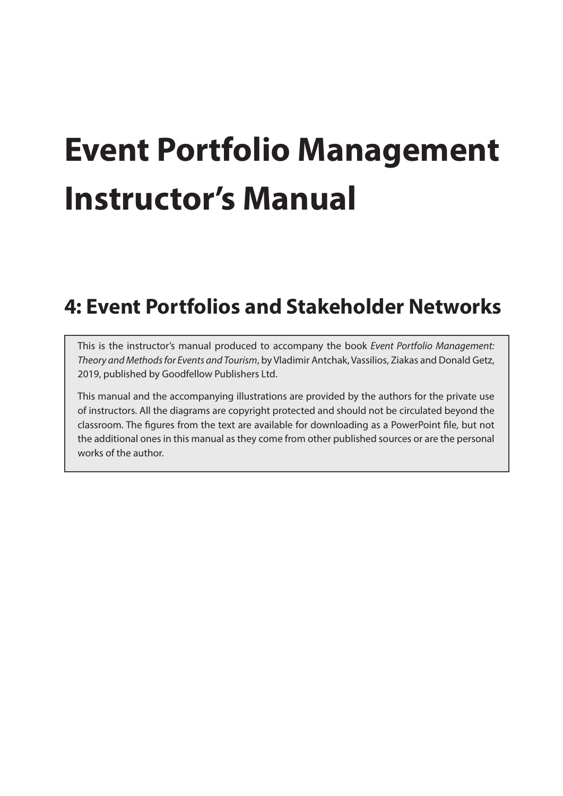# **Event Portfolio Management Instructor's Manual**

## **4: Event Portfolios and Stakeholder Networks**

This is the instructor's manual produced to accompany the book *Event Portfolio Management: Theory and Methods for Events and Tourism*, by Vladimir Antchak, Vassilios, Ziakas and Donald Getz, 2019, published by Goodfellow Publishers Ltd.

This manual and the accompanying illustrations are provided by the authors for the private use of instructors. All the diagrams are copyright protected and should not be circulated beyond the classroom. The figures from the text are available for downloading as a PowerPoint file, but not the additional ones in this manual as they come from other published sources or are the personal works of the author.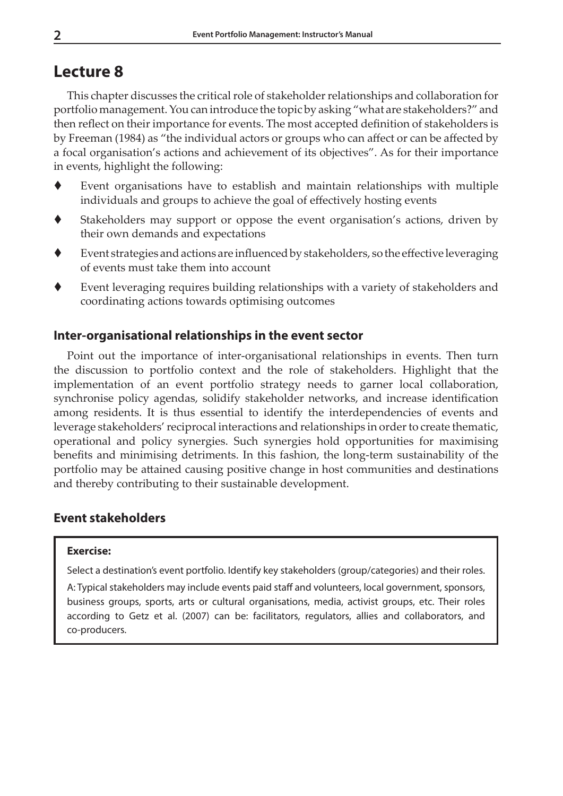## **Lecture 8**

This chapter discusses the critical role of stakeholder relationships and collaboration for portfolio management. You can introduce the topic by asking "what are stakeholders?" and then reflect on their importance for events. The most accepted definition of stakeholders is by Freeman (1984) as "the individual actors or groups who can affect or can be affected by a focal organisation's actions and achievement of its objectives". As for their importance in events, highlight the following:

- Event organisations have to establish and maintain relationships with multiple individuals and groups to achieve the goal of effectively hosting events
- Stakeholders may support or oppose the event organisation's actions, driven by their own demands and expectations
- Event strategies and actions are influenced by stakeholders, so the effective leveraging of events must take them into account
- Event leveraging requires building relationships with a variety of stakeholders and coordinating actions towards optimising outcomes

## **Inter-organisational relationships in the event sector**

Point out the importance of inter-organisational relationships in events. Then turn the discussion to portfolio context and the role of stakeholders. Highlight that the implementation of an event portfolio strategy needs to garner local collaboration, synchronise policy agendas, solidify stakeholder networks, and increase identification among residents. It is thus essential to identify the interdependencies of events and leverage stakeholders' reciprocal interactions and relationships in order to create thematic, operational and policy synergies. Such synergies hold opportunities for maximising benefits and minimising detriments. In this fashion, the long-term sustainability of the portfolio may be attained causing positive change in host communities and destinations and thereby contributing to their sustainable development.

## **Event stakeholders**

#### **Exercise:**

Select a destination's event portfolio. Identify key stakeholders (group/categories) and their roles.

A: Typical stakeholders may include events paid staff and volunteers, local government, sponsors, business groups, sports, arts or cultural organisations, media, activist groups, etc. Their roles according to Getz et al. (2007) can be: facilitators, regulators, allies and collaborators, and co-producers.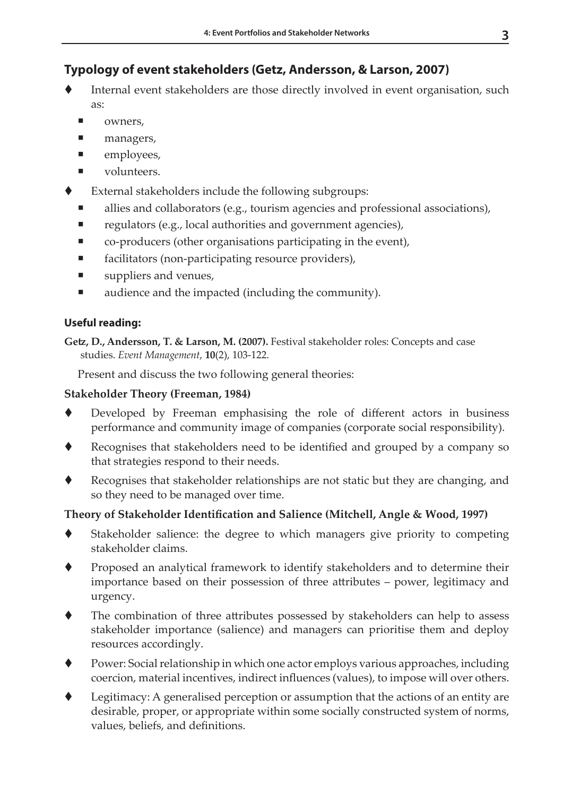## **Typology of event stakeholders (Getz, Andersson, & Larson, 2007)**

- Internal event stakeholders are those directly involved in event organisation, such as:
	- owners,
	- managers,
	- employees,
	- volunteers.
- External stakeholders include the following subgroups:
	- allies and collaborators (e.g., tourism agencies and professional associations),
	- regulators (e.g., local authorities and government agencies),
	- co-producers (other organisations participating in the event),
	- facilitators (non-participating resource providers),
	- $\blacksquare$  suppliers and venues,
	- audience and the impacted (including the community).

## **Useful reading:**

**Getz, D., Andersson, T. & Larson, M. (2007).** Festival stakeholder roles: Concepts and case studies. *Event Management*, **10**(2), 103-122.

Present and discuss the two following general theories:

## **Stakeholder Theory (Freeman, 1984)**

- Developed by Freeman emphasising the role of different actors in business performance and community image of companies (corporate social responsibility).
- Recognises that stakeholders need to be identified and grouped by a company so that strategies respond to their needs.
- Recognises that stakeholder relationships are not static but they are changing, and so they need to be managed over time.

## **Theory of Stakeholder Identification and Salience (Mitchell, Angle & Wood, 1997)**

- Stakeholder salience: the degree to which managers give priority to competing stakeholder claims.
- Proposed an analytical framework to identify stakeholders and to determine their importance based on their possession of three attributes – power, legitimacy and urgency.
- The combination of three attributes possessed by stakeholders can help to assess stakeholder importance (salience) and managers can prioritise them and deploy resources accordingly.
- Power: Social relationship in which one actor employs various approaches, including coercion, material incentives, indirect influences (values), to impose will over others.
- Legitimacy: A generalised perception or assumption that the actions of an entity are desirable, proper, or appropriate within some socially constructed system of norms, values, beliefs, and definitions.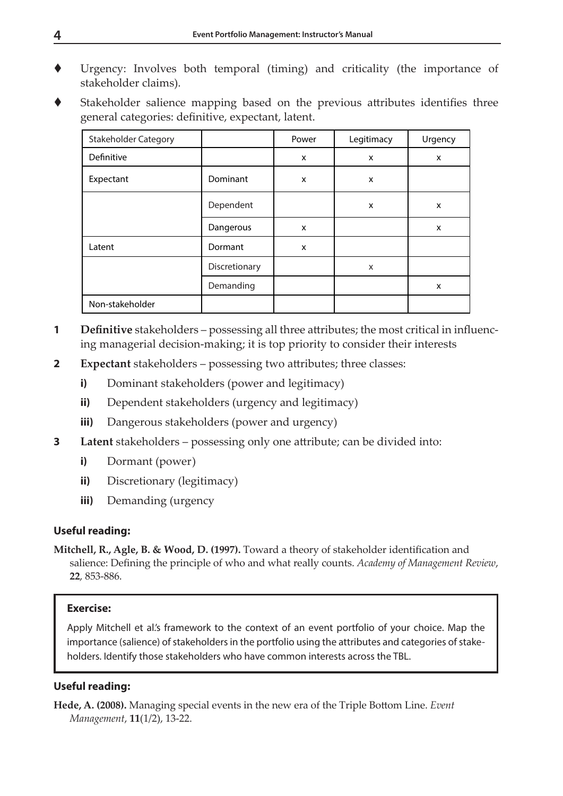- Urgency: Involves both temporal (timing) and criticality (the importance of stakeholder claims).
- Stakeholder salience mapping based on the previous attributes identifies three general categories: definitive, expectant, latent.

| <b>Stakeholder Category</b> |               | Power                     | Legitimacy | Urgency                   |
|-----------------------------|---------------|---------------------------|------------|---------------------------|
| Definitive                  |               | X                         | X          | $\boldsymbol{\mathsf{x}}$ |
| Expectant                   | Dominant      | $\boldsymbol{\mathsf{x}}$ | X          |                           |
|                             | Dependent     |                           | X          | X                         |
|                             | Dangerous     | X                         |            | X                         |
| Latent                      | Dormant       | X                         |            |                           |
|                             | Discretionary |                           | X          |                           |
|                             | Demanding     |                           |            | X                         |
| Non-stakeholder             |               |                           |            |                           |

- **1 Definitive** stakeholders possessing all three attributes; the most critical in influencing managerial decision-making; it is top priority to consider their interests
- **2 Expectant** stakeholders possessing two attributes; three classes:
	- **i)** Dominant stakeholders (power and legitimacy)
	- **ii)** Dependent stakeholders (urgency and legitimacy)
	- **iii)** Dangerous stakeholders (power and urgency)
- **3 Latent** stakeholders possessing only one attribute; can be divided into:
	- **i)** Dormant (power)
	- **ii)** Discretionary (legitimacy)
	- **iii)** Demanding (urgency

#### **Useful reading:**

**Mitchell, R., Agle, B. & Wood, D. (1997).** Toward a theory of stakeholder identification and salience: Defining the principle of who and what really counts. *Academy of Management Review*, **22**, 853-886.

#### **Exercise:**

Apply Mitchell et al.'s framework to the context of an event portfolio of your choice. Map the importance (salience) of stakeholders in the portfolio using the attributes and categories of stakeholders. Identify those stakeholders who have common interests across the TBL.

#### **Useful reading:**

**Hede, A. (2008).** Managing special events in the new era of the Triple Bottom Line. *Event Management*, **11**(1/2), 13-22.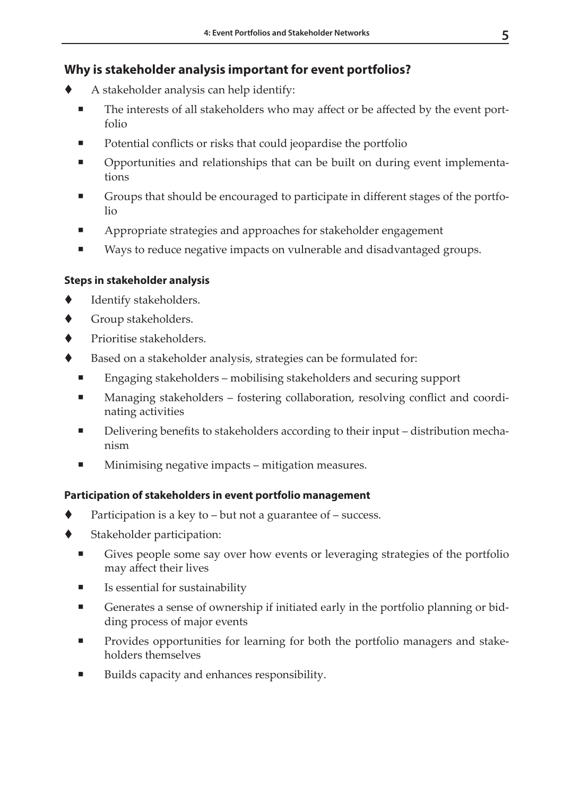## **Why is stakeholder analysis important for event portfolios?**

- A stakeholder analysis can help identify:
	- The interests of all stakeholders who may affect or be affected by the event portfolio
	- Potential conflicts or risks that could jeopardise the portfolio
	- Opportunities and relationships that can be built on during event implementations
	- Groups that should be encouraged to participate in different stages of the portfolio
	- Appropriate strategies and approaches for stakeholder engagement
	- Ways to reduce negative impacts on vulnerable and disadvantaged groups.

## **Steps in stakeholder analysis**

- Identify stakeholders.
- Group stakeholders.
- Prioritise stakeholders.
- Based on a stakeholder analysis, strategies can be formulated for:
	- Engaging stakeholders mobilising stakeholders and securing support
	- Managing stakeholders fostering collaboration, resolving conflict and coordinating activities
	- Delivering benefits to stakeholders according to their input distribution mechanism
	- Minimising negative impacts mitigation measures.

## **Participation of stakeholders in event portfolio management**

- Participation is a key to but not a guarantee of success.
- Stakeholder participation:
	- Gives people some say over how events or leveraging strategies of the portfolio may affect their lives
	- Is essential for sustainability
	- Generates a sense of ownership if initiated early in the portfolio planning or bidding process of major events
	- **Provides opportunities for learning for both the portfolio managers and stake**holders themselves
	- Builds capacity and enhances responsibility.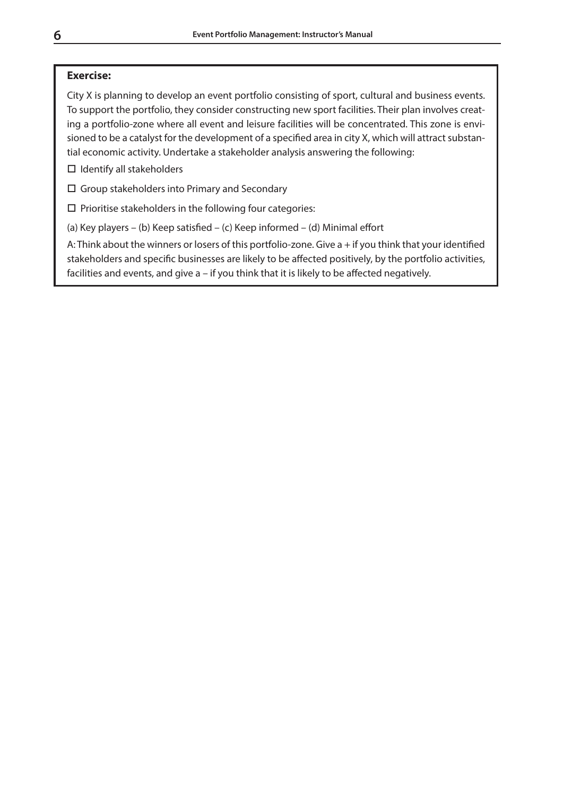#### **Exercise:**

City X is planning to develop an event portfolio consisting of sport, cultural and business events. To support the portfolio, they consider constructing new sport facilities. Their plan involves creating a portfolio-zone where all event and leisure facilities will be concentrated. This zone is envisioned to be a catalyst for the development of a specified area in city X, which will attract substantial economic activity. Undertake a stakeholder analysis answering the following:

 $\Box$  Identify all stakeholders

Group stakeholders into Primary and Secondary

 $\square$  Prioritise stakeholders in the following four categories:

(a) Key players – (b) Keep satisfied – (c) Keep informed – (d) Minimal effort

A: Think about the winners or losers of this portfolio-zone. Give a + if you think that your identified stakeholders and specific businesses are likely to be affected positively, by the portfolio activities, facilities and events, and give a – if you think that it is likely to be affected negatively.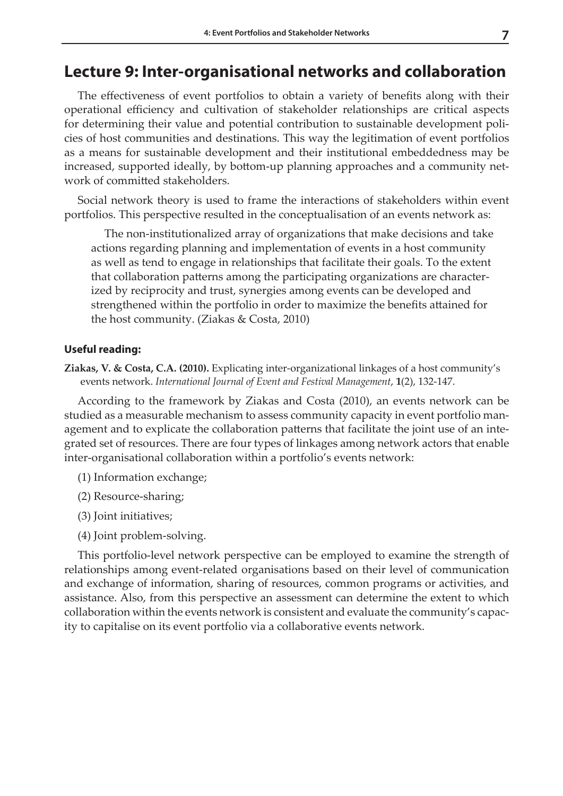## **Lecture 9: Inter-organisational networks and collaboration**

The effectiveness of event portfolios to obtain a variety of benefits along with their operational efficiency and cultivation of stakeholder relationships are critical aspects for determining their value and potential contribution to sustainable development policies of host communities and destinations. This way the legitimation of event portfolios as a means for sustainable development and their institutional embeddedness may be increased, supported ideally, by bottom-up planning approaches and a community network of committed stakeholders.

Social network theory is used to frame the interactions of stakeholders within event portfolios. This perspective resulted in the conceptualisation of an events network as:

The non-institutionalized array of organizations that make decisions and take actions regarding planning and implementation of events in a host community as well as tend to engage in relationships that facilitate their goals. To the extent that collaboration patterns among the participating organizations are characterized by reciprocity and trust, synergies among events can be developed and strengthened within the portfolio in order to maximize the benefits attained for the host community. (Ziakas & Costa, 2010)

#### **Useful reading:**

**Ziakas, V. & Costa, C.A. (2010).** Explicating inter-organizational linkages of a host community's events network. *International Journal of Event and Festival Management*, **1**(2), 132-147.

According to the framework by Ziakas and Costa (2010), an events network can be studied as a measurable mechanism to assess community capacity in event portfolio management and to explicate the collaboration patterns that facilitate the joint use of an integrated set of resources. There are four types of linkages among network actors that enable inter-organisational collaboration within a portfolio's events network:

- (1) Information exchange;
- (2) Resource-sharing;
- (3) Joint initiatives;
- (4) Joint problem-solving.

This portfolio-level network perspective can be employed to examine the strength of relationships among event-related organisations based on their level of communication and exchange of information, sharing of resources, common programs or activities, and assistance. Also, from this perspective an assessment can determine the extent to which collaboration within the events network is consistent and evaluate the community's capacity to capitalise on its event portfolio via a collaborative events network.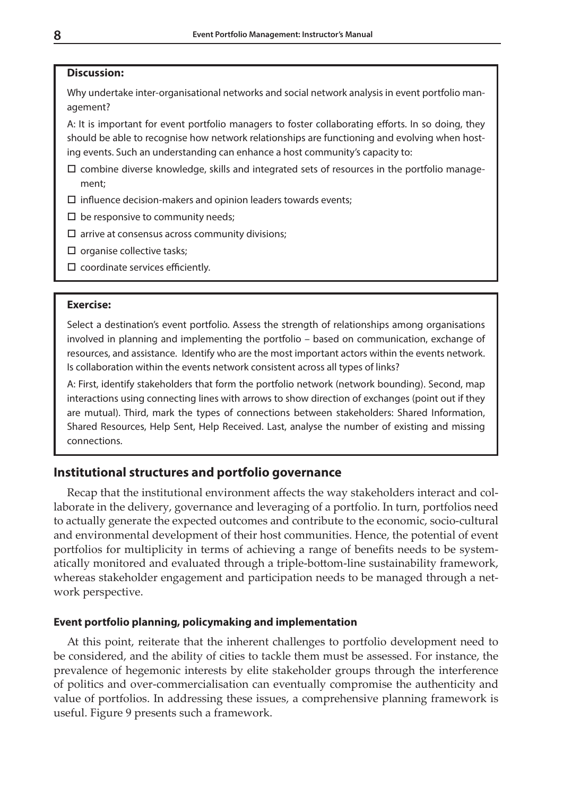#### **Discussion:**

Why undertake inter-organisational networks and social network analysis in event portfolio management?

A: It is important for event portfolio managers to foster collaborating efforts. In so doing, they should be able to recognise how network relationships are functioning and evolving when hosting events. Such an understanding can enhance a host community's capacity to:

- $\square$  combine diverse knowledge, skills and integrated sets of resources in the portfolio management;
- $\square$  influence decision-makers and opinion leaders towards events;
- $\square$  be responsive to community needs;
- $\square$  arrive at consensus across community divisions;
- $\square$  organise collective tasks;
- $\square$  coordinate services efficiently.

#### **Exercise:**

Select a destination's event portfolio. Assess the strength of relationships among organisations involved in planning and implementing the portfolio – based on communication, exchange of resources, and assistance. Identify who are the most important actors within the events network. Is collaboration within the events network consistent across all types of links?

A: First, identify stakeholders that form the portfolio network (network bounding). Second, map interactions using connecting lines with arrows to show direction of exchanges (point out if they are mutual). Third, mark the types of connections between stakeholders: Shared Information, Shared Resources, Help Sent, Help Received. Last, analyse the number of existing and missing connections.

#### **Institutional structures and portfolio governance**

Recap that the institutional environment affects the way stakeholders interact and collaborate in the delivery, governance and leveraging of a portfolio. In turn, portfolios need to actually generate the expected outcomes and contribute to the economic, socio-cultural and environmental development of their host communities. Hence, the potential of event portfolios for multiplicity in terms of achieving a range of benefits needs to be systematically monitored and evaluated through a triple-bottom-line sustainability framework, whereas stakeholder engagement and participation needs to be managed through a network perspective.

#### **Event portfolio planning, policymaking and implementation**

At this point, reiterate that the inherent challenges to portfolio development need to be considered, and the ability of cities to tackle them must be assessed. For instance, the prevalence of hegemonic interests by elite stakeholder groups through the interference of politics and over-commercialisation can eventually compromise the authenticity and value of portfolios. In addressing these issues, a comprehensive planning framework is useful. Figure 9 presents such a framework.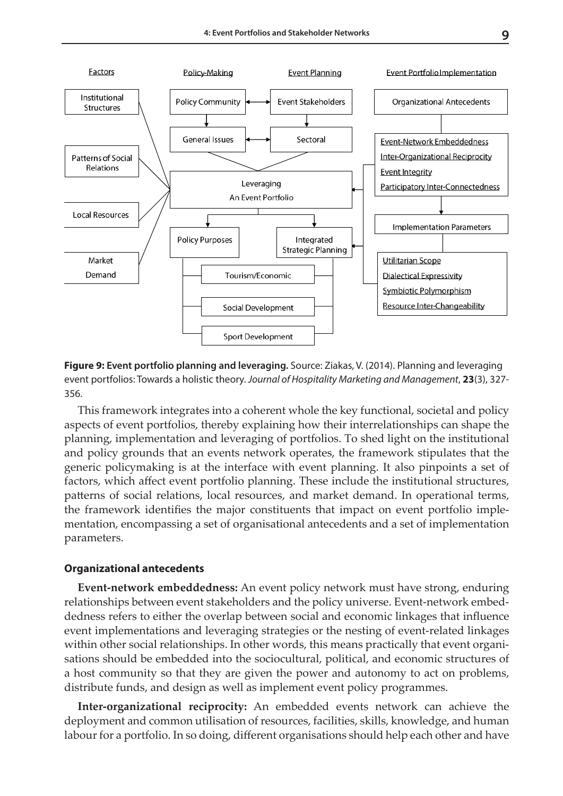

**Figure 9: Event portfolio planning and leveraging.** Source: Ziakas, V. (2014). Planning and leveraging event portfolios: Towards a holistic theory. *Journal of Hospitality Marketing and Management*, **23**(3), 327- 356.

This framework integrates into a coherent whole the key functional, societal and policy aspects of event portfolios, thereby explaining how their interrelationships can shape the planning, implementation and leveraging of portfolios. To shed light on the institutional and policy grounds that an events network operates, the framework stipulates that the generic policymaking is at the interface with event planning. It also pinpoints a set of factors, which affect event portfolio planning. These include the institutional structures, patterns of social relations, local resources, and market demand. In operational terms, the framework identifies the major constituents that impact on event portfolio implementation, encompassing a set of organisational antecedents and a set of implementation parameters.

#### **Organizational antecedents**

**Event-network embeddedness:** An event policy network must have strong, enduring relationships between event stakeholders and the policy universe. Event-network embeddedness refers to either the overlap between social and economic linkages that influence event implementations and leveraging strategies or the nesting of event-related linkages within other social relationships. In other words, this means practically that event organisations should be embedded into the sociocultural, political, and economic structures of a host community so that they are given the power and autonomy to act on problems, distribute funds, and design as well as implement event policy programmes.

**Inter-organizational reciprocity:** An embedded events network can achieve the deployment and common utilisation of resources, facilities, skills, knowledge, and human labour for a portfolio. In so doing, different organisations should help each other and have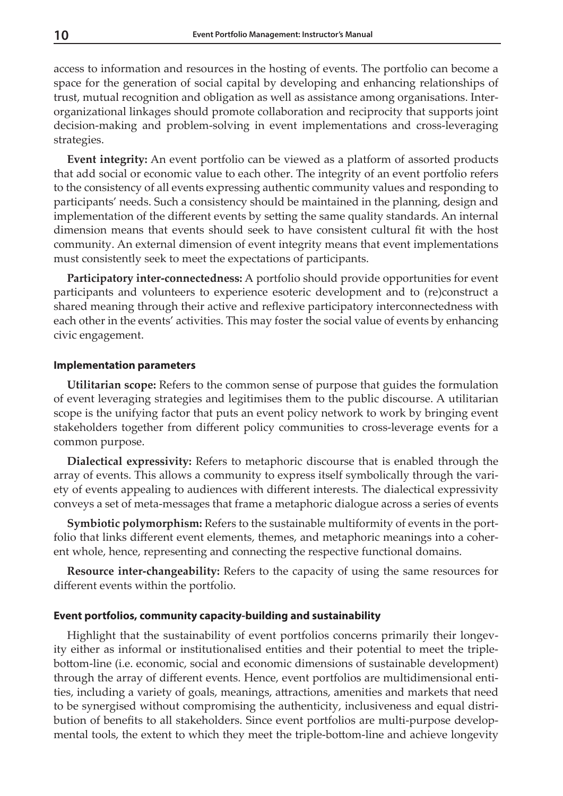access to information and resources in the hosting of events. The portfolio can become a space for the generation of social capital by developing and enhancing relationships of trust, mutual recognition and obligation as well as assistance among organisations. Interorganizational linkages should promote collaboration and reciprocity that supports joint decision-making and problem-solving in event implementations and cross-leveraging strategies.

**Event integrity:** An event portfolio can be viewed as a platform of assorted products that add social or economic value to each other. The integrity of an event portfolio refers to the consistency of all events expressing authentic community values and responding to participants' needs. Such a consistency should be maintained in the planning, design and implementation of the different events by setting the same quality standards. An internal dimension means that events should seek to have consistent cultural fit with the host community. An external dimension of event integrity means that event implementations must consistently seek to meet the expectations of participants.

**Participatory inter-connectedness:** A portfolio should provide opportunities for event participants and volunteers to experience esoteric development and to (re)construct a shared meaning through their active and reflexive participatory interconnectedness with each other in the events' activities. This may foster the social value of events by enhancing civic engagement.

#### **Implementation parameters**

**Utilitarian scope:** Refers to the common sense of purpose that guides the formulation of event leveraging strategies and legitimises them to the public discourse. A utilitarian scope is the unifying factor that puts an event policy network to work by bringing event stakeholders together from different policy communities to cross-leverage events for a common purpose.

**Dialectical expressivity:** Refers to metaphoric discourse that is enabled through the array of events. This allows a community to express itself symbolically through the variety of events appealing to audiences with different interests. The dialectical expressivity conveys a set of meta-messages that frame a metaphoric dialogue across a series of events

**Symbiotic polymorphism:** Refers to the sustainable multiformity of events in the portfolio that links different event elements, themes, and metaphoric meanings into a coherent whole, hence, representing and connecting the respective functional domains.

**Resource inter-changeability:** Refers to the capacity of using the same resources for different events within the portfolio.

#### **Event portfolios, community capacity-building and sustainability**

Highlight that the sustainability of event portfolios concerns primarily their longevity either as informal or institutionalised entities and their potential to meet the triplebottom-line (i.e. economic, social and economic dimensions of sustainable development) through the array of different events. Hence, event portfolios are multidimensional entities, including a variety of goals, meanings, attractions, amenities and markets that need to be synergised without compromising the authenticity, inclusiveness and equal distribution of benefits to all stakeholders. Since event portfolios are multi-purpose developmental tools, the extent to which they meet the triple-bottom-line and achieve longevity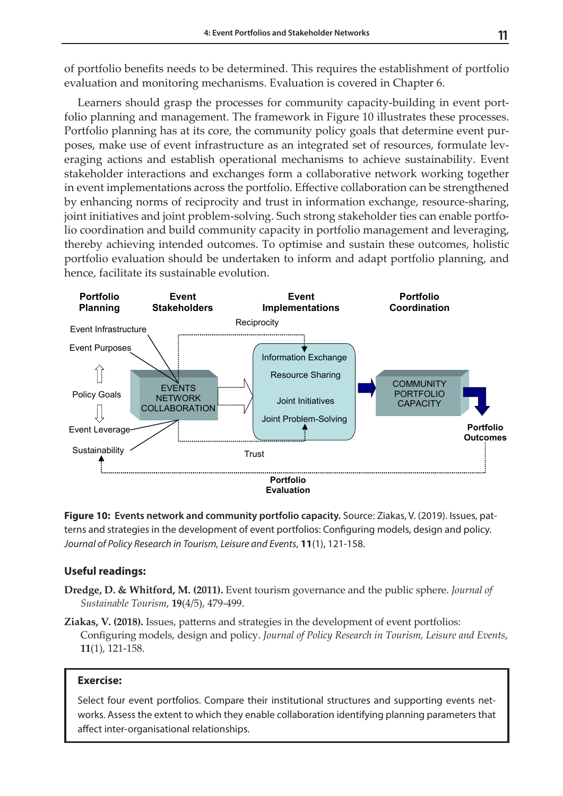of portfolio benefits needs to be determined. This requires the establishment of portfolio evaluation and monitoring mechanisms. Evaluation is covered in Chapter 6.

Learners should grasp the processes for community capacity-building in event portfolio planning and management. The framework in Figure 10 illustrates these processes. Portfolio planning has at its core, the community policy goals that determine event purposes, make use of event infrastructure as an integrated set of resources, formulate leveraging actions and establish operational mechanisms to achieve sustainability. Event stakeholder interactions and exchanges form a collaborative network working together in event implementations across the portfolio. Effective collaboration can be strengthened by enhancing norms of reciprocity and trust in information exchange, resource-sharing, joint initiatives and joint problem-solving. Such strong stakeholder ties can enable portfolio coordination and build community capacity in portfolio management and leveraging, thereby achieving intended outcomes. To optimise and sustain these outcomes, holistic portfolio evaluation should be undertaken to inform and adapt portfolio planning, and hence, facilitate its sustainable evolution.



**Figure 10: Events network and community portfolio capacity.** Source: Ziakas, V. (2019). Issues, pat-**Forth**<br>terns and strategies in the development of event portfolios: Configuring models, design and policy. Tourism, Leisure and Events, 11(1), 121-158. *Journal of Policy Research in Tourism, Leisure and Events*, **11**(1), 121-158.

## **Useful readings:**

- **Dredge, D. & Whitford, M. (2011).** Event tourism governance and the public sphere. *Journal of Sustainable Tourism*, **19**(4/5), 479-499.
- **Ziakas, V. (2018).** Issues, patterns and strategies in the development of event portfolios: Configuring models, design and policy. *Journal of Policy Research in Tourism, Leisure and Events*, **11**(1), 121-158.

#### **Exercise:**

Select four event portfolios. Compare their institutional structures and supporting events networks. Assess the extent to which they enable collaboration identifying planning parameters that affect inter-organisational relationships.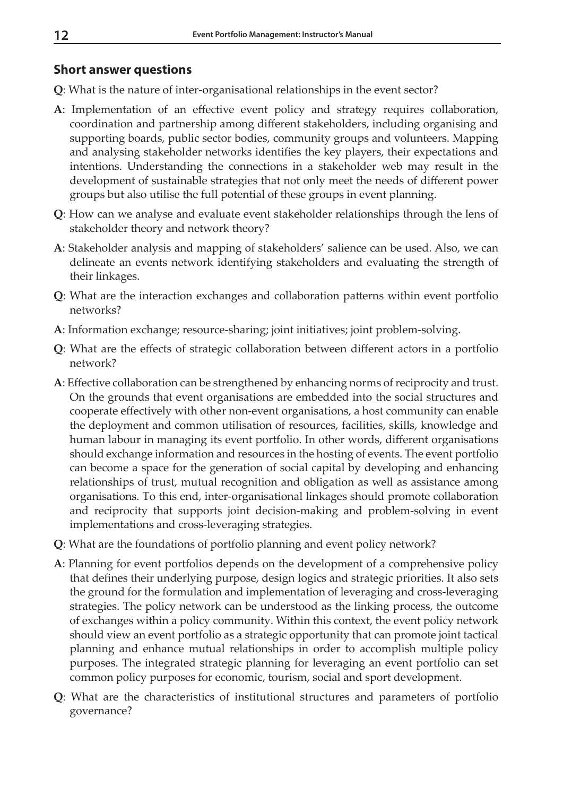## **Short answer questions**

- **Q**: What is the nature of inter-organisational relationships in the event sector?
- **A**: Implementation of an effective event policy and strategy requires collaboration, coordination and partnership among different stakeholders, including organising and supporting boards, public sector bodies, community groups and volunteers. Mapping and analysing stakeholder networks identifies the key players, their expectations and intentions. Understanding the connections in a stakeholder web may result in the development of sustainable strategies that not only meet the needs of different power groups but also utilise the full potential of these groups in event planning.
- **Q**: How can we analyse and evaluate event stakeholder relationships through the lens of stakeholder theory and network theory?
- **A**: Stakeholder analysis and mapping of stakeholders' salience can be used. Also, we can delineate an events network identifying stakeholders and evaluating the strength of their linkages.
- **Q**: What are the interaction exchanges and collaboration patterns within event portfolio networks?
- **A**: Information exchange; resource-sharing; joint initiatives; joint problem-solving.
- **Q**: What are the effects of strategic collaboration between different actors in a portfolio network?
- **A**: Effective collaboration can be strengthened by enhancing norms of reciprocity and trust. On the grounds that event organisations are embedded into the social structures and cooperate effectively with other non-event organisations, a host community can enable the deployment and common utilisation of resources, facilities, skills, knowledge and human labour in managing its event portfolio. In other words, different organisations should exchange information and resources in the hosting of events. The event portfolio can become a space for the generation of social capital by developing and enhancing relationships of trust, mutual recognition and obligation as well as assistance among organisations. To this end, inter-organisational linkages should promote collaboration and reciprocity that supports joint decision-making and problem-solving in event implementations and cross-leveraging strategies.
- **Q**: What are the foundations of portfolio planning and event policy network?
- **A**: Planning for event portfolios depends on the development of a comprehensive policy that defines their underlying purpose, design logics and strategic priorities. It also sets the ground for the formulation and implementation of leveraging and cross-leveraging strategies. The policy network can be understood as the linking process, the outcome of exchanges within a policy community. Within this context, the event policy network should view an event portfolio as a strategic opportunity that can promote joint tactical planning and enhance mutual relationships in order to accomplish multiple policy purposes. The integrated strategic planning for leveraging an event portfolio can set common policy purposes for economic, tourism, social and sport development.
- **Q**: What are the characteristics of institutional structures and parameters of portfolio governance?